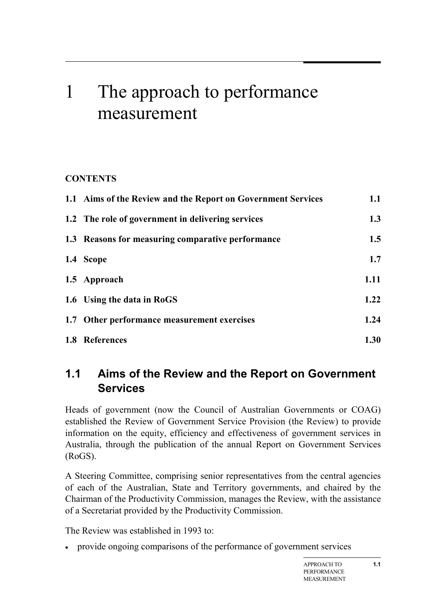# 1 The approach to performance measurement

### **CONTENTS**

| 1.1 Aims of the Review and the Report on Government Services | 1.1  |
|--------------------------------------------------------------|------|
| 1.2 The role of government in delivering services            | 1.3  |
| 1.3 Reasons for measuring comparative performance            | 1.5  |
| 1.4 Scope                                                    | 1.7  |
| 1.5 Approach                                                 | 1.11 |
| 1.6 Using the data in RoGS                                   | 1.22 |
| 1.7 Other performance measurement exercises                  | 1.24 |
| 1.8 References                                               | 1.30 |

# <span id="page-0-0"></span>**1.1 Aims of the Review and the Report on Government Services**

Heads of government (now the Council of Australian Governments or COAG) established the Review of Government Service Provision (the Review) to provide information on the equity, efficiency and effectiveness of government services in Australia, through the publication of the annual Report on Government Services (RoGS).

A Steering Committee, comprising senior representatives from the central agencies of each of the Australian, State and Territory governments, and chaired by the Chairman of the Productivity Commission, manages the Review, with the assistance of a Secretariat provided by the Productivity Commission.

The Review was established in 1993 to:

• provide ongoing comparisons of the performance of government services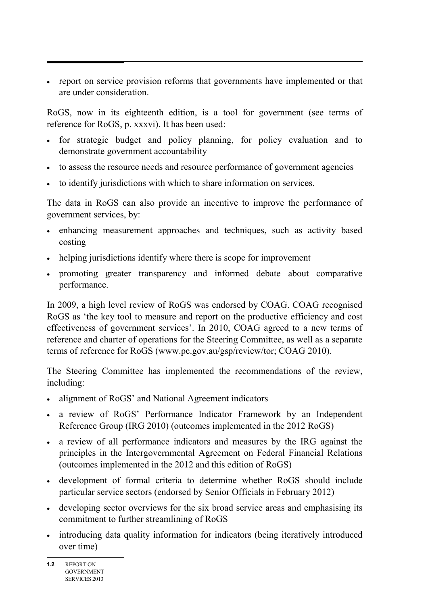• report on service provision reforms that governments have implemented or that are under consideration.

RoGS, now in its eighteenth edition, is a tool for government (see terms of reference for RoGS, p. xxxvi). It has been used:

- for strategic budget and policy planning, for policy evaluation and to demonstrate government accountability
- to assess the resource needs and resource performance of government agencies
- to identify jurisdictions with which to share information on services.

The data in RoGS can also provide an incentive to improve the performance of government services, by:

- enhancing measurement approaches and techniques, such as activity based costing
- helping jurisdictions identify where there is scope for improvement
- promoting greater transparency and informed debate about comparative performance.

In 2009, a high level review of RoGS was endorsed by COAG. COAG recognised RoGS as 'the key tool to measure and report on the productive efficiency and cost effectiveness of government services'. In 2010, COAG agreed to a new terms of reference and charter of operations for the Steering Committee, as well as a separate terms of reference for RoGS (www.pc.gov.au/gsp/review/tor; COAG 2010).

The Steering Committee has implemented the recommendations of the review, including:

- alignment of RoGS' and National Agreement indicators
- a review of RoGS' Performance Indicator Framework by an Independent Reference Group (IRG 2010) (outcomes implemented in the 2012 RoGS)
- a review of all performance indicators and measures by the IRG against the principles in the Intergovernmental Agreement on Federal Financial Relations (outcomes implemented in the 2012 and this edition of RoGS)
- development of formal criteria to determine whether RoGS should include particular service sectors (endorsed by Senior Officials in February 2012)
- developing sector overviews for the six broad service areas and emphasising its commitment to further streamlining of RoGS
- introducing data quality information for indicators (being iteratively introduced over time)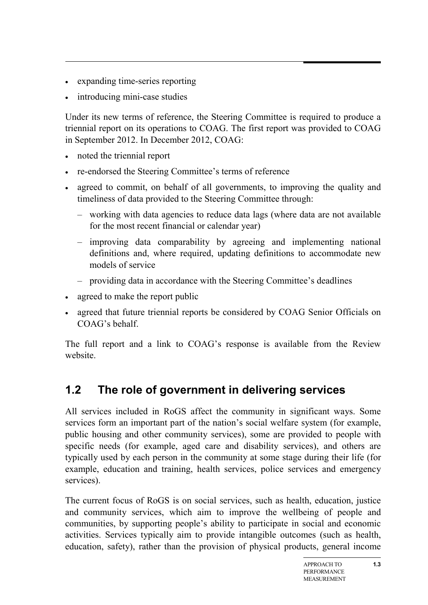- expanding time-series reporting
- introducing mini-case studies

Under its new terms of reference, the Steering Committee is required to produce a triennial report on its operations to COAG. The first report was provided to COAG in September 2012. In December 2012, COAG:

- noted the triennial report
- re-endorsed the Steering Committee's terms of reference
- agreed to commit, on behalf of all governments, to improving the quality and timeliness of data provided to the Steering Committee through:
	- working with data agencies to reduce data lags (where data are not available for the most recent financial or calendar year)
	- improving data comparability by agreeing and implementing national definitions and, where required, updating definitions to accommodate new models of service
	- providing data in accordance with the Steering Committee's deadlines
- agreed to make the report public
- agreed that future triennial reports be considered by COAG Senior Officials on COAG's behalf.

<span id="page-2-0"></span>The full report and a link to COAG's response is available from the Review website.

# **1.2 The role of government in delivering services**

All services included in RoGS affect the community in significant ways. Some services form an important part of the nation's social welfare system (for example, public housing and other community services), some are provided to people with specific needs (for example, aged care and disability services), and others are typically used by each person in the community at some stage during their life (for example, education and training, health services, police services and emergency services).

The current focus of RoGS is on social services, such as health, education, justice and community services, which aim to improve the wellbeing of people and communities, by supporting people's ability to participate in social and economic activities. Services typically aim to provide intangible outcomes (such as health, education, safety), rather than the provision of physical products, general income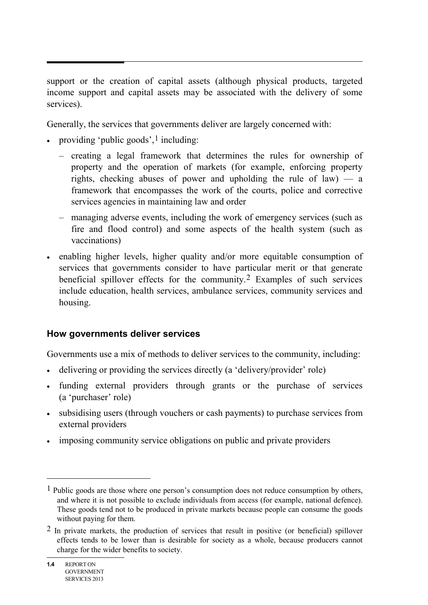support or the creation of capital assets (although physical products, targeted income support and capital assets may be associated with the delivery of some services).

Generally, the services that governments deliver are largely concerned with:

- providing 'public goods',  $\frac{1}{2}$  $\frac{1}{2}$  $\frac{1}{2}$  including:
	- creating a legal framework that determines the rules for ownership of property and the operation of markets (for example, enforcing property rights, checking abuses of power and upholding the rule of law) — a framework that encompasses the work of the courts, police and corrective services agencies in maintaining law and order
	- managing adverse events, including the work of emergency services (such as fire and flood control) and some aspects of the health system (such as vaccinations)
- enabling higher levels, higher quality and/or more equitable consumption of services that governments consider to have particular merit or that generate beneficial spillover effects for the community.[2](#page-3-1) Examples of such services include education, health services, ambulance services, community services and housing.

#### **How governments deliver services**

Governments use a mix of methods to deliver services to the community, including:

- delivering or providing the services directly (a 'delivery/provider' role)
- funding external providers through grants or the purchase of services (a 'purchaser' role)
- subsidising users (through vouchers or cash payments) to purchase services from external providers
- imposing community service obligations on public and private providers

 $\overline{a}$ 

<span id="page-3-0"></span><sup>&</sup>lt;sup>1</sup> Public goods are those where one person's consumption does not reduce consumption by others, and where it is not possible to exclude individuals from access (for example, national defence). These goods tend not to be produced in private markets because people can consume the goods without paying for them.

<span id="page-3-1"></span><sup>2</sup> In private markets, the production of services that result in positive (or beneficial) spillover effects tends to be lower than is desirable for society as a whole, because producers cannot charge for the wider benefits to society.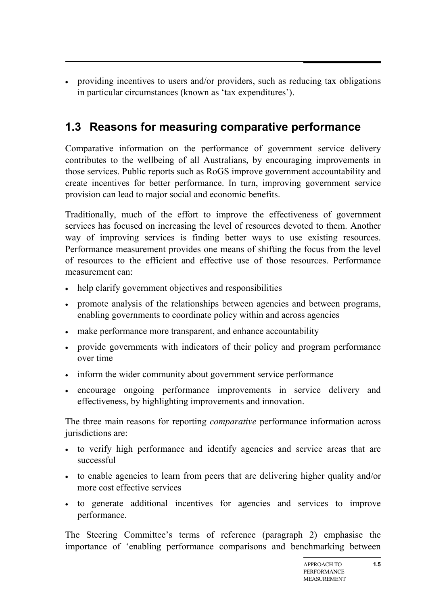• providing incentives to users and/or providers, such as reducing tax obligations in particular circumstances (known as 'tax expenditures').

# <span id="page-4-0"></span>**1.3 Reasons for measuring comparative performance**

Comparative information on the performance of government service delivery contributes to the wellbeing of all Australians, by encouraging improvements in those services. Public reports such as RoGS improve government accountability and create incentives for better performance. In turn, improving government service provision can lead to major social and economic benefits.

Traditionally, much of the effort to improve the effectiveness of government services has focused on increasing the level of resources devoted to them. Another way of improving services is finding better ways to use existing resources. Performance measurement provides one means of shifting the focus from the level of resources to the efficient and effective use of those resources. Performance measurement can:

- help clarify government objectives and responsibilities
- promote analysis of the relationships between agencies and between programs, enabling governments to coordinate policy within and across agencies
- make performance more transparent, and enhance accountability
- provide governments with indicators of their policy and program performance over time
- inform the wider community about government service performance
- encourage ongoing performance improvements in service delivery and effectiveness, by highlighting improvements and innovation.

The three main reasons for reporting *comparative* performance information across jurisdictions are:

- to verify high performance and identify agencies and service areas that are successful
- to enable agencies to learn from peers that are delivering higher quality and/or more cost effective services
- to generate additional incentives for agencies and services to improve performance.

The Steering Committee's terms of reference (paragraph 2) emphasise the importance of 'enabling performance comparisons and benchmarking between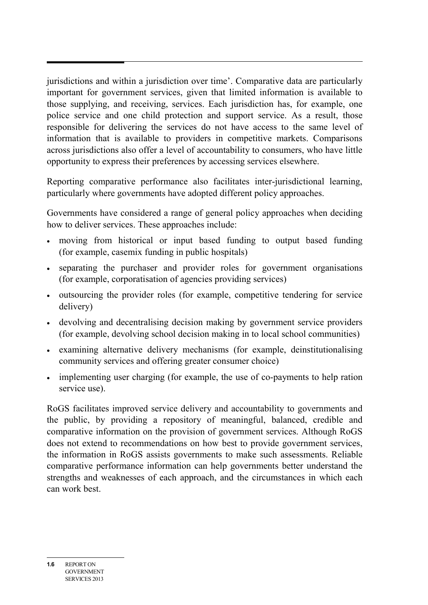jurisdictions and within a jurisdiction over time'. Comparative data are particularly important for government services, given that limited information is available to those supplying, and receiving, services. Each jurisdiction has, for example, one police service and one child protection and support service. As a result, those responsible for delivering the services do not have access to the same level of information that is available to providers in competitive markets. Comparisons across jurisdictions also offer a level of accountability to consumers, who have little opportunity to express their preferences by accessing services elsewhere.

Reporting comparative performance also facilitates inter-jurisdictional learning, particularly where governments have adopted different policy approaches.

Governments have considered a range of general policy approaches when deciding how to deliver services. These approaches include:

- moving from historical or input based funding to output based funding (for example, casemix funding in public hospitals)
- separating the purchaser and provider roles for government organisations (for example, corporatisation of agencies providing services)
- outsourcing the provider roles (for example, competitive tendering for service delivery)
- devolving and decentralising decision making by government service providers (for example, devolving school decision making in to local school communities)
- examining alternative delivery mechanisms (for example, deinstitutionalising community services and offering greater consumer choice)
- implementing user charging (for example, the use of co-payments to help ration service use).

RoGS facilitates improved service delivery and accountability to governments and the public, by providing a repository of meaningful, balanced, credible and comparative information on the provision of government services. Although RoGS does not extend to recommendations on how best to provide government services, the information in RoGS assists governments to make such assessments. Reliable comparative performance information can help governments better understand the strengths and weaknesses of each approach, and the circumstances in which each can work best.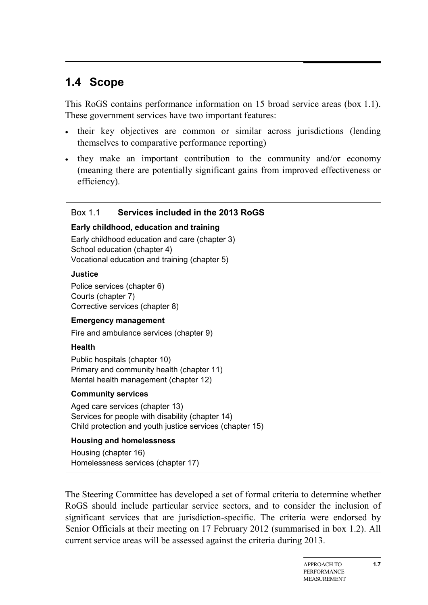# <span id="page-6-0"></span>**1.4 Scope**

This RoGS contains performance information on 15 broad service areas (box 1.1). These government services have two important features:

- their key objectives are common or similar across jurisdictions (lending themselves to comparative performance reporting)
- they make an important contribution to the community and/or economy (meaning there are potentially significant gains from improved effectiveness or efficiency).

#### Box 1.1 **Services included in the 2013 RoGS**

#### **Early childhood, education and training**

Early childhood education and care (chapter 3) School education (chapter 4) Vocational education and training (chapter 5)

#### **Justice**

Police services (chapter 6) Courts (chapter 7) Corrective services (chapter 8)

#### **Emergency management**

Fire and ambulance services (chapter 9)

#### **Health**

Public hospitals (chapter 10) Primary and community health (chapter 11) Mental health management (chapter 12)

#### **Community services**

Aged care services (chapter 13) Services for people with disability (chapter 14) Child protection and youth justice services (chapter 15)

#### **Housing and homelessness**

Housing (chapter 16) Homelessness services (chapter 17)

The Steering Committee has developed a set of formal criteria to determine whether RoGS should include particular service sectors, and to consider the inclusion of significant services that are jurisdiction-specific. The criteria were endorsed by Senior Officials at their meeting on 17 February 2012 (summarised in box 1.2). All current service areas will be assessed against the criteria during 2013.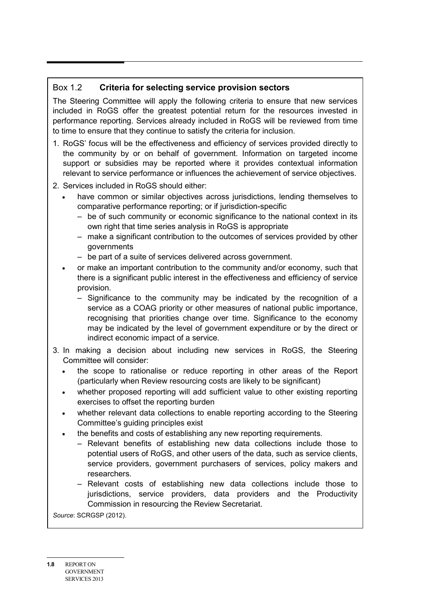#### Box 1.2 **Criteria for selecting service provision sectors**

The Steering Committee will apply the following criteria to ensure that new services included in RoGS offer the greatest potential return for the resources invested in performance reporting. Services already included in RoGS will be reviewed from time to time to ensure that they continue to satisfy the criteria for inclusion.

- 1. RoGS' focus will be the effectiveness and efficiency of services provided directly to the community by or on behalf of government. Information on targeted income support or subsidies may be reported where it provides contextual information relevant to service performance or influences the achievement of service objectives.
- 2. Services included in RoGS should either:
	- have common or similar objectives across jurisdictions, lending themselves to comparative performance reporting; or if jurisdiction-specific
		- be of such community or economic significance to the national context in its own right that time series analysis in RoGS is appropriate
		- make a significant contribution to the outcomes of services provided by other governments
		- be part of a suite of services delivered across government.
	- or make an important contribution to the community and/or economy, such that there is a significant public interest in the effectiveness and efficiency of service provision.
		- Significance to the community may be indicated by the recognition of a service as a COAG priority or other measures of national public importance, recognising that priorities change over time. Significance to the economy may be indicated by the level of government expenditure or by the direct or indirect economic impact of a service.
- 3. In making a decision about including new services in RoGS, the Steering Committee will consider:
	- the scope to rationalise or reduce reporting in other areas of the Report (particularly when Review resourcing costs are likely to be significant)
	- whether proposed reporting will add sufficient value to other existing reporting exercises to offset the reporting burden
	- whether relevant data collections to enable reporting according to the Steering Committee's guiding principles exist
	- the benefits and costs of establishing any new reporting requirements.
		- Relevant benefits of establishing new data collections include those to potential users of RoGS, and other users of the data, such as service clients, service providers, government purchasers of services, policy makers and researchers.
		- Relevant costs of establishing new data collections include those to jurisdictions, service providers, data providers and the Productivity Commission in resourcing the Review Secretariat.

*Source*: SCRGSP (2012).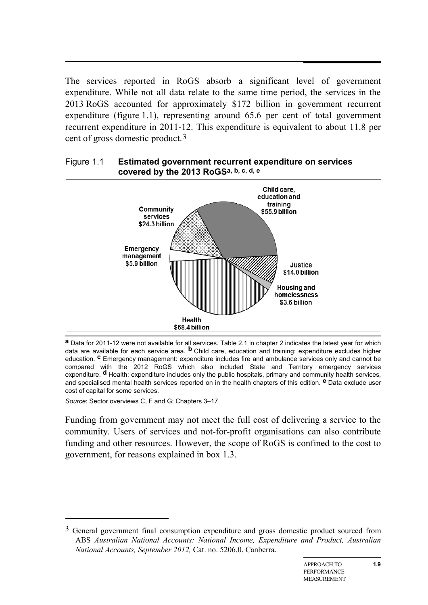The services reported in RoGS absorb a significant level of government expenditure. While not all data relate to the same time period, the services in the 2013 RoGS accounted for approximately \$172 billion in government recurrent expenditure (figure 1.1), representing around 65.6 per cent of total government recurrent expenditure in 2011-12. This expenditure is equivalent to about 11.8 per cent of gross domestic product.[3](#page-8-0)

#### Figure 1.1 **Estimated government recurrent expenditure on services covered by the 2013 RoGSa, b, c, d, e**



**a** Data for 2011-12 were not available for all services. Table 2.1 in chapter 2 indicates the latest year for which data are available for each service area. **b** Child care, education and training: expenditure excludes higher education. **c** Emergency management: expenditure includes fire and ambulance services only and cannot be compared with the 2012 RoGS which also included State and Territory emergency services expenditure. **d** Health: expenditure includes only the public hospitals, primary and community health services, and specialised mental health services reported on in the health chapters of this edition. **e** Data exclude user cost of capital for some services.

*Source*: Sector overviews C, F and G; Chapters 3–17.

-

Funding from government may not meet the full cost of delivering a service to the community. Users of services and not-for-profit organisations can also contribute funding and other resources. However, the scope of RoGS is confined to the cost to government, for reasons explained in box 1.3.

<span id="page-8-0"></span><sup>3</sup> General government final consumption expenditure and gross domestic product sourced from ABS *Australian National Accounts: National Income, Expenditure and Product, Australian National Accounts, September 2012,* Cat. no. 5206.0, Canberra.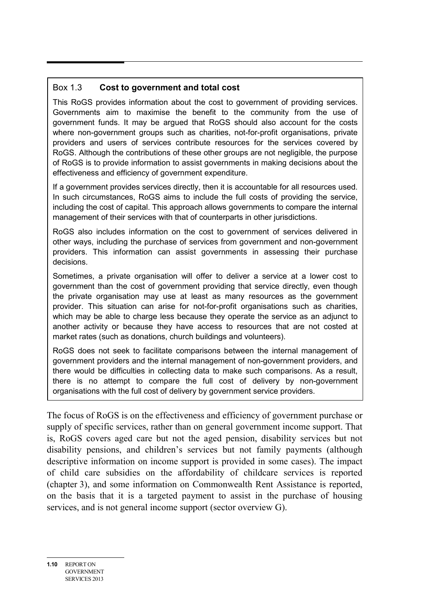#### Box 1.3 **Cost to government and total cost**

This RoGS provides information about the cost to government of providing services. Governments aim to maximise the benefit to the community from the use of government funds. It may be argued that RoGS should also account for the costs where non-government groups such as charities, not-for-profit organisations, private providers and users of services contribute resources for the services covered by RoGS. Although the contributions of these other groups are not negligible, the purpose of RoGS is to provide information to assist governments in making decisions about the effectiveness and efficiency of government expenditure.

If a government provides services directly, then it is accountable for all resources used. In such circumstances, RoGS aims to include the full costs of providing the service, including the cost of capital. This approach allows governments to compare the internal management of their services with that of counterparts in other jurisdictions.

RoGS also includes information on the cost to government of services delivered in other ways, including the purchase of services from government and non-government providers. This information can assist governments in assessing their purchase decisions.

Sometimes, a private organisation will offer to deliver a service at a lower cost to government than the cost of government providing that service directly, even though the private organisation may use at least as many resources as the government provider. This situation can arise for not-for-profit organisations such as charities, which may be able to charge less because they operate the service as an adjunct to another activity or because they have access to resources that are not costed at market rates (such as donations, church buildings and volunteers).

RoGS does not seek to facilitate comparisons between the internal management of government providers and the internal management of non-government providers, and there would be difficulties in collecting data to make such comparisons. As a result, there is no attempt to compare the full cost of delivery by non-government organisations with the full cost of delivery by government service providers.

The focus of RoGS is on the effectiveness and efficiency of government purchase or supply of specific services, rather than on general government income support. That is, RoGS covers aged care but not the aged pension, disability services but not disability pensions, and children's services but not family payments (although descriptive information on income support is provided in some cases). The impact of child care subsidies on the affordability of childcare services is reported (chapter 3), and some information on Commonwealth Rent Assistance is reported, on the basis that it is a targeted payment to assist in the purchase of housing services, and is not general income support (sector overview G).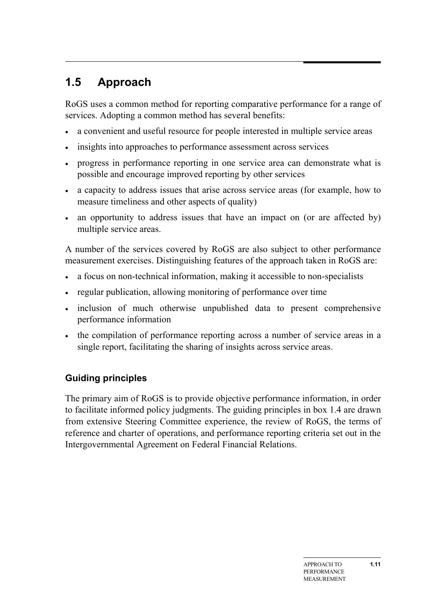# <span id="page-10-0"></span>**1.5 Approach**

RoGS uses a common method for reporting comparative performance for a range of services. Adopting a common method has several benefits:

- a convenient and useful resource for people interested in multiple service areas
- insights into approaches to performance assessment across services
- progress in performance reporting in one service area can demonstrate what is possible and encourage improved reporting by other services
- a capacity to address issues that arise across service areas (for example, how to measure timeliness and other aspects of quality)
- an opportunity to address issues that have an impact on (or are affected by) multiple service areas.

A number of the services covered by RoGS are also subject to other performance measurement exercises. Distinguishing features of the approach taken in RoGS are:

- a focus on non-technical information, making it accessible to non-specialists
- regular publication, allowing monitoring of performance over time
- inclusion of much otherwise unpublished data to present comprehensive performance information
- the compilation of performance reporting across a number of service areas in a single report, facilitating the sharing of insights across service areas.

# **Guiding principles**

The primary aim of RoGS is to provide objective performance information, in order to facilitate informed policy judgments. The guiding principles in box 1.4 are drawn from extensive Steering Committee experience, the review of RoGS, the terms of reference and charter of operations, and performance reporting criteria set out in the Intergovernmental Agreement on Federal Financial Relations.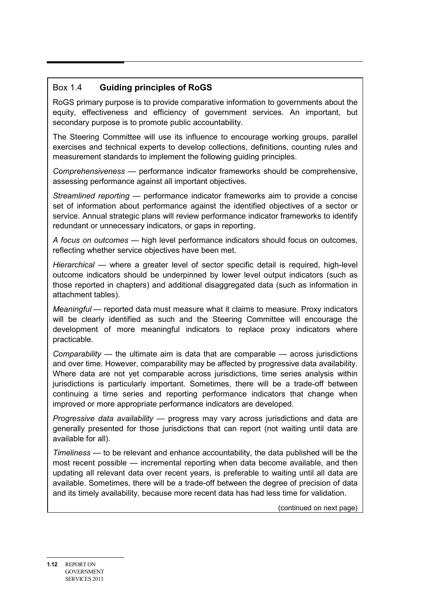#### Box 1.4 **Guiding principles of RoGS**

RoGS primary purpose is to provide comparative information to governments about the equity, effectiveness and efficiency of government services. An important, but secondary purpose is to promote public accountability.

The Steering Committee will use its influence to encourage working groups, parallel exercises and technical experts to develop collections, definitions, counting rules and measurement standards to implement the following guiding principles.

*Comprehensiveness* — performance indicator frameworks should be comprehensive, assessing performance against all important objectives.

*Streamlined reporting —* performance indicator frameworks aim to provide a concise set of information about performance against the identified objectives of a sector or service. Annual strategic plans will review performance indicator frameworks to identify redundant or unnecessary indicators, or gaps in reporting.

*A focus on outcomes* — high level performance indicators should focus on outcomes, reflecting whether service objectives have been met.

*Hierarchical* — where a greater level of sector specific detail is required, high-level outcome indicators should be underpinned by lower level output indicators (such as those reported in chapters) and additional disaggregated data (such as information in attachment tables).

*Meaningful* — reported data must measure what it claims to measure. Proxy indicators will be clearly identified as such and the Steering Committee will encourage the development of more meaningful indicators to replace proxy indicators where practicable.

*Comparability* — the ultimate aim is data that are comparable — across jurisdictions and over time. However, comparability may be affected by progressive data availability. Where data are not yet comparable across jurisdictions, time series analysis within jurisdictions is particularly important. Sometimes, there will be a trade-off between continuing a time series and reporting performance indicators that change when improved or more appropriate performance indicators are developed.

*Progressive data availability* — progress may vary across jurisdictions and data are generally presented for those jurisdictions that can report (not waiting until data are available for all).

*Timeliness* — to be relevant and enhance accountability, the data published will be the most recent possible — incremental reporting when data become available, and then updating all relevant data over recent years, is preferable to waiting until all data are available. Sometimes, there will be a trade-off between the degree of precision of data and its timely availability, because more recent data has had less time for validation.

(continued on next page)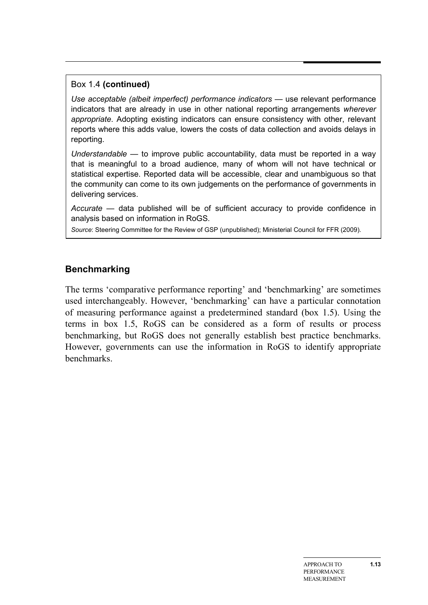#### Box 1.4 **(continued)**

*Use acceptable (albeit imperfect) performance indicators — use relevant performance* indicators that are already in use in other national reporting arrangements *wherever appropriate*. Adopting existing indicators can ensure consistency with other, relevant reports where this adds value, lowers the costs of data collection and avoids delays in reporting.

*Understandable* — to improve public accountability, data must be reported in a way that is meaningful to a broad audience, many of whom will not have technical or statistical expertise. Reported data will be accessible, clear and unambiguous so that the community can come to its own judgements on the performance of governments in delivering services.

*Accurate* — data published will be of sufficient accuracy to provide confidence in analysis based on information in RoGS.

*Source*: Steering Committee for the Review of GSP (unpublished); Ministerial Council for FFR (2009).

#### **Benchmarking**

The terms 'comparative performance reporting' and 'benchmarking' are sometimes used interchangeably. However, 'benchmarking' can have a particular connotation of measuring performance against a predetermined standard (box 1.5). Using the terms in box 1.5, RoGS can be considered as a form of results or process benchmarking, but RoGS does not generally establish best practice benchmarks. However, governments can use the information in RoGS to identify appropriate benchmarks.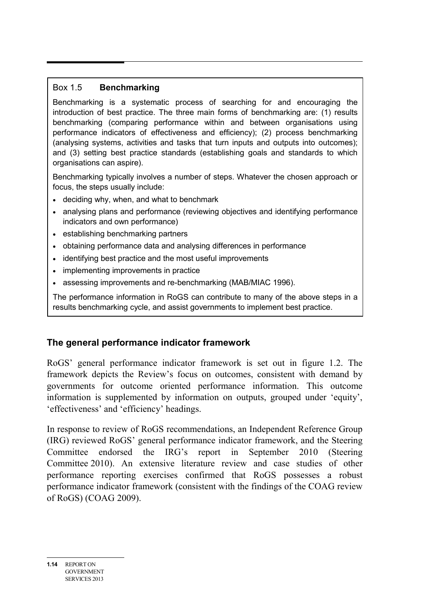#### Box 1.5 **Benchmarking**

Benchmarking is a systematic process of searching for and encouraging the introduction of best practice. The three main forms of benchmarking are: (1) results benchmarking (comparing performance within and between organisations using performance indicators of effectiveness and efficiency); (2) process benchmarking (analysing systems, activities and tasks that turn inputs and outputs into outcomes); and (3) setting best practice standards (establishing goals and standards to which organisations can aspire).

Benchmarking typically involves a number of steps. Whatever the chosen approach or focus, the steps usually include:

- deciding why, when, and what to benchmark
- analysing plans and performance (reviewing objectives and identifying performance indicators and own performance)
- establishing benchmarking partners
- obtaining performance data and analysing differences in performance
- identifying best practice and the most useful improvements
- implementing improvements in practice
- assessing improvements and re-benchmarking (MAB/MIAC 1996).

The performance information in RoGS can contribute to many of the above steps in a results benchmarking cycle, and assist governments to implement best practice.

# **The general performance indicator framework**

RoGS' general performance indicator framework is set out in figure 1.2. The framework depicts the Review's focus on outcomes, consistent with demand by governments for outcome oriented performance information. This outcome information is supplemented by information on outputs, grouped under 'equity', 'effectiveness' and 'efficiency' headings.

In response to review of RoGS recommendations, an Independent Reference Group (IRG) reviewed RoGS' general performance indicator framework, and the Steering Committee endorsed the IRG's report in September 2010 (Steering Committee 2010). An extensive literature review and case studies of other performance reporting exercises confirmed that RoGS possesses a robust performance indicator framework (consistent with the findings of the COAG review of RoGS) (COAG 2009).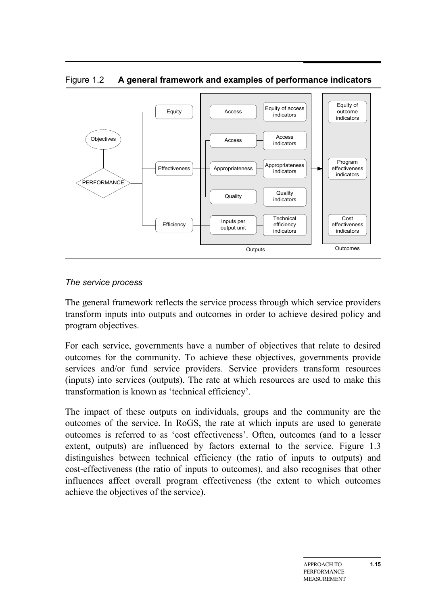

Figure 1.2 **A general framework and examples of performance indicators**

#### *The service process*

The general framework reflects the service process through which service providers transform inputs into outputs and outcomes in order to achieve desired policy and program objectives.

For each service, governments have a number of objectives that relate to desired outcomes for the community. To achieve these objectives, governments provide services and/or fund service providers. Service providers transform resources (inputs) into services (outputs). The rate at which resources are used to make this transformation is known as 'technical efficiency'.

The impact of these outputs on individuals, groups and the community are the outcomes of the service. In RoGS, the rate at which inputs are used to generate outcomes is referred to as 'cost effectiveness'. Often, outcomes (and to a lesser extent, outputs) are influenced by factors external to the service. Figure 1.3 distinguishes between technical efficiency (the ratio of inputs to outputs) and cost-effectiveness (the ratio of inputs to outcomes), and also recognises that other influences affect overall program effectiveness (the extent to which outcomes achieve the objectives of the service).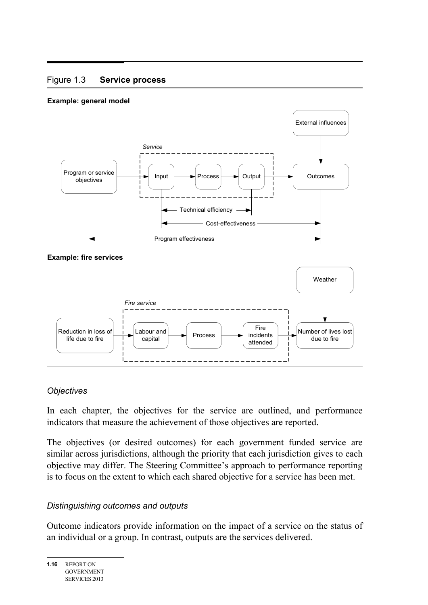#### Figure 1.3 **Service process**

#### **Example: general model**



#### *Objectives*

In each chapter, the objectives for the service are outlined, and performance indicators that measure the achievement of those objectives are reported.

The objectives (or desired outcomes) for each government funded service are similar across jurisdictions, although the priority that each jurisdiction gives to each objective may differ. The Steering Committee's approach to performance reporting is to focus on the extent to which each shared objective for a service has been met.

#### *Distinguishing outcomes and outputs*

Outcome indicators provide information on the impact of a service on the status of an individual or a group. In contrast, outputs are the services delivered.

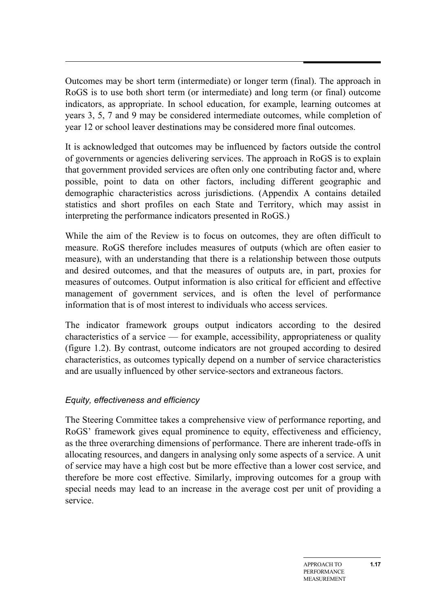Outcomes may be short term (intermediate) or longer term (final). The approach in RoGS is to use both short term (or intermediate) and long term (or final) outcome indicators, as appropriate. In school education, for example, learning outcomes at years 3, 5, 7 and 9 may be considered intermediate outcomes, while completion of year 12 or school leaver destinations may be considered more final outcomes.

It is acknowledged that outcomes may be influenced by factors outside the control of governments or agencies delivering services. The approach in RoGS is to explain that government provided services are often only one contributing factor and, where possible, point to data on other factors, including different geographic and demographic characteristics across jurisdictions. (Appendix A contains detailed statistics and short profiles on each State and Territory, which may assist in interpreting the performance indicators presented in RoGS.)

While the aim of the Review is to focus on outcomes, they are often difficult to measure. RoGS therefore includes measures of outputs (which are often easier to measure), with an understanding that there is a relationship between those outputs and desired outcomes, and that the measures of outputs are, in part, proxies for measures of outcomes. Output information is also critical for efficient and effective management of government services, and is often the level of performance information that is of most interest to individuals who access services.

The indicator framework groups output indicators according to the desired characteristics of a service — for example, accessibility, appropriateness or quality (figure 1.2). By contrast, outcome indicators are not grouped according to desired characteristics, as outcomes typically depend on a number of service characteristics and are usually influenced by other service-sectors and extraneous factors.

#### *Equity, effectiveness and efficiency*

The Steering Committee takes a comprehensive view of performance reporting, and RoGS' framework gives equal prominence to equity, effectiveness and efficiency, as the three overarching dimensions of performance. There are inherent trade-offs in allocating resources, and dangers in analysing only some aspects of a service. A unit of service may have a high cost but be more effective than a lower cost service, and therefore be more cost effective. Similarly, improving outcomes for a group with special needs may lead to an increase in the average cost per unit of providing a service.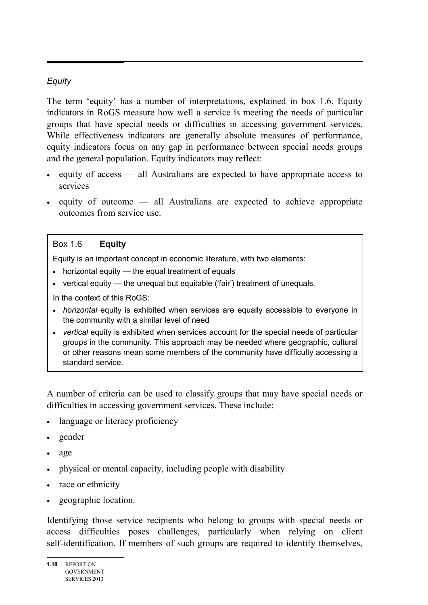#### *Equity*

The term 'equity' has a number of interpretations, explained in box 1.6. Equity indicators in RoGS measure how well a service is meeting the needs of particular groups that have special needs or difficulties in accessing government services. While effectiveness indicators are generally absolute measures of performance, equity indicators focus on any gap in performance between special needs groups and the general population. Equity indicators may reflect:

- equity of access all Australians are expected to have appropriate access to services
- equity of outcome all Australians are expected to achieve appropriate outcomes from service use.

#### Box 1.6 **Equity**

Equity is an important concept in economic literature, with two elements:

- horizontal equity the equal treatment of equals
- vertical equity the unequal but equitable ('fair') treatment of unequals.

In the context of this RoGS:

- *horizontal* equity is exhibited when services are equally accessible to everyone in the community with a similar level of need
- *vertical* equity is exhibited when services account for the special needs of particular groups in the community. This approach may be needed where geographic, cultural or other reasons mean some members of the community have difficulty accessing a standard service.

A number of criteria can be used to classify groups that may have special needs or difficulties in accessing government services. These include:

- language or literacy proficiency
- gender
- age
- physical or mental capacity, including people with disability
- race or ethnicity
- geographic location.

Identifying those service recipients who belong to groups with special needs or access difficulties poses challenges, particularly when relying on client self-identification. If members of such groups are required to identify themselves,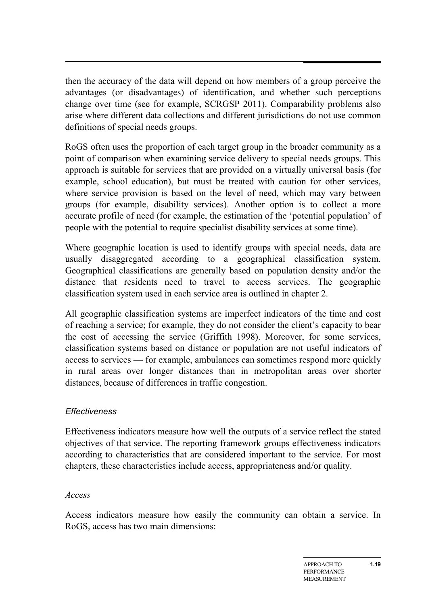then the accuracy of the data will depend on how members of a group perceive the advantages (or disadvantages) of identification, and whether such perceptions change over time (see for example, SCRGSP 2011). Comparability problems also arise where different data collections and different jurisdictions do not use common definitions of special needs groups.

RoGS often uses the proportion of each target group in the broader community as a point of comparison when examining service delivery to special needs groups. This approach is suitable for services that are provided on a virtually universal basis (for example, school education), but must be treated with caution for other services, where service provision is based on the level of need, which may vary between groups (for example, disability services). Another option is to collect a more accurate profile of need (for example, the estimation of the 'potential population' of people with the potential to require specialist disability services at some time).

Where geographic location is used to identify groups with special needs, data are usually disaggregated according to a geographical classification system. Geographical classifications are generally based on population density and/or the distance that residents need to travel to access services. The geographic classification system used in each service area is outlined in chapter 2.

All geographic classification systems are imperfect indicators of the time and cost of reaching a service; for example, they do not consider the client's capacity to bear the cost of accessing the service (Griffith 1998). Moreover, for some services, classification systems based on distance or population are not useful indicators of access to services — for example, ambulances can sometimes respond more quickly in rural areas over longer distances than in metropolitan areas over shorter distances, because of differences in traffic congestion.

#### *Effectiveness*

Effectiveness indicators measure how well the outputs of a service reflect the stated objectives of that service. The reporting framework groups effectiveness indicators according to characteristics that are considered important to the service. For most chapters, these characteristics include access, appropriateness and/or quality.

#### *Access*

Access indicators measure how easily the community can obtain a service. In RoGS, access has two main dimensions: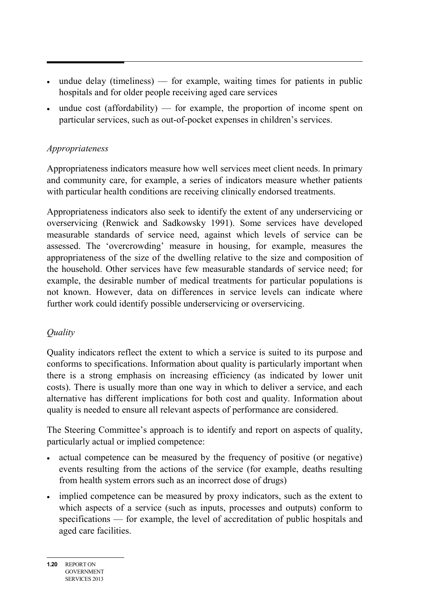- undue delay (timeliness) for example, waiting times for patients in public hospitals and for older people receiving aged care services
- undue cost (affordability) for example, the proportion of income spent on particular services, such as out-of-pocket expenses in children's services.

### *Appropriateness*

Appropriateness indicators measure how well services meet client needs. In primary and community care, for example, a series of indicators measure whether patients with particular health conditions are receiving clinically endorsed treatments.

Appropriateness indicators also seek to identify the extent of any underservicing or overservicing (Renwick and Sadkowsky 1991). Some services have developed measurable standards of service need, against which levels of service can be assessed. The 'overcrowding' measure in housing, for example, measures the appropriateness of the size of the dwelling relative to the size and composition of the household. Other services have few measurable standards of service need; for example, the desirable number of medical treatments for particular populations is not known. However, data on differences in service levels can indicate where further work could identify possible underservicing or overservicing.

# *Quality*

Quality indicators reflect the extent to which a service is suited to its purpose and conforms to specifications. Information about quality is particularly important when there is a strong emphasis on increasing efficiency (as indicated by lower unit costs). There is usually more than one way in which to deliver a service, and each alternative has different implications for both cost and quality. Information about quality is needed to ensure all relevant aspects of performance are considered.

The Steering Committee's approach is to identify and report on aspects of quality, particularly actual or implied competence:

- actual competence can be measured by the frequency of positive (or negative) events resulting from the actions of the service (for example, deaths resulting from health system errors such as an incorrect dose of drugs)
- implied competence can be measured by proxy indicators, such as the extent to which aspects of a service (such as inputs, processes and outputs) conform to specifications — for example, the level of accreditation of public hospitals and aged care facilities.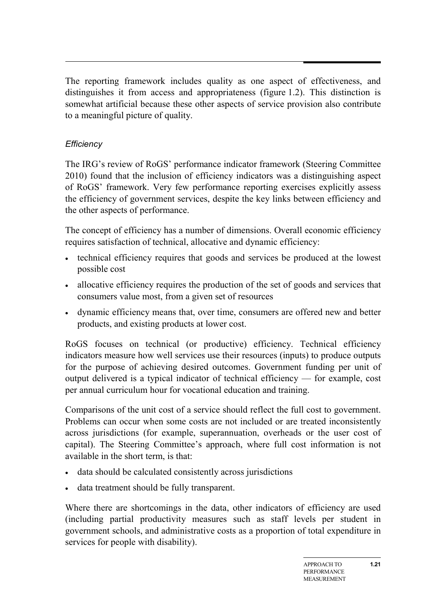The reporting framework includes quality as one aspect of effectiveness, and distinguishes it from access and appropriateness (figure 1.2). This distinction is somewhat artificial because these other aspects of service provision also contribute to a meaningful picture of quality.

# *Efficiency*

The IRG's review of RoGS' performance indicator framework (Steering Committee 2010) found that the inclusion of efficiency indicators was a distinguishing aspect of RoGS' framework. Very few performance reporting exercises explicitly assess the efficiency of government services, despite the key links between efficiency and the other aspects of performance.

The concept of efficiency has a number of dimensions. Overall economic efficiency requires satisfaction of technical, allocative and dynamic efficiency:

- technical efficiency requires that goods and services be produced at the lowest possible cost
- allocative efficiency requires the production of the set of goods and services that consumers value most, from a given set of resources
- dynamic efficiency means that, over time, consumers are offered new and better products, and existing products at lower cost.

RoGS focuses on technical (or productive) efficiency. Technical efficiency indicators measure how well services use their resources (inputs) to produce outputs for the purpose of achieving desired outcomes. Government funding per unit of output delivered is a typical indicator of technical efficiency — for example, cost per annual curriculum hour for vocational education and training.

Comparisons of the unit cost of a service should reflect the full cost to government. Problems can occur when some costs are not included or are treated inconsistently across jurisdictions (for example, superannuation, overheads or the user cost of capital). The Steering Committee's approach, where full cost information is not available in the short term, is that:

- data should be calculated consistently across jurisdictions
- data treatment should be fully transparent.

Where there are shortcomings in the data, other indicators of efficiency are used (including partial productivity measures such as staff levels per student in government schools, and administrative costs as a proportion of total expenditure in services for people with disability).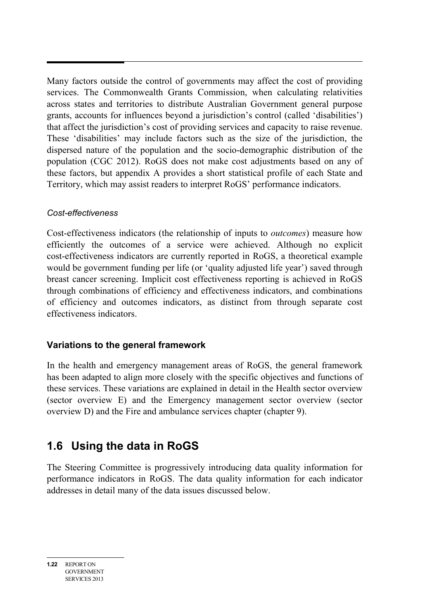Many factors outside the control of governments may affect the cost of providing services. The Commonwealth Grants Commission, when calculating relativities across states and territories to distribute Australian Government general purpose grants, accounts for influences beyond a jurisdiction's control (called 'disabilities') that affect the jurisdiction's cost of providing services and capacity to raise revenue. These 'disabilities' may include factors such as the size of the jurisdiction, the dispersed nature of the population and the socio-demographic distribution of the population (CGC 2012). RoGS does not make cost adjustments based on any of these factors, but appendix A provides a short statistical profile of each State and Territory, which may assist readers to interpret RoGS' performance indicators.

#### *Cost-effectiveness*

Cost-effectiveness indicators (the relationship of inputs to *outcomes*) measure how efficiently the outcomes of a service were achieved. Although no explicit cost-effectiveness indicators are currently reported in RoGS, a theoretical example would be government funding per life (or 'quality adjusted life year') saved through breast cancer screening. Implicit cost effectiveness reporting is achieved in RoGS through combinations of efficiency and effectiveness indicators, and combinations of efficiency and outcomes indicators, as distinct from through separate cost effectiveness indicators.

# **Variations to the general framework**

In the health and emergency management areas of RoGS, the general framework has been adapted to align more closely with the specific objectives and functions of these services. These variations are explained in detail in the Health sector overview (sector overview E) and the Emergency management sector overview (sector overview D) and the Fire and ambulance services chapter (chapter 9).

# <span id="page-21-0"></span>**1.6 Using the data in RoGS**

The Steering Committee is progressively introducing data quality information for performance indicators in RoGS. The data quality information for each indicator addresses in detail many of the data issues discussed below.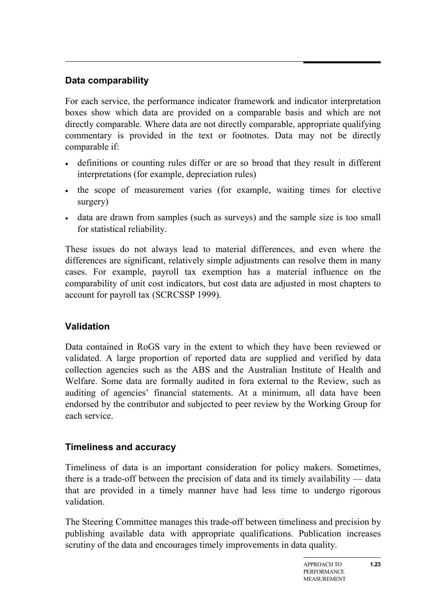# **Data comparability**

For each service, the performance indicator framework and indicator interpretation boxes show which data are provided on a comparable basis and which are not directly comparable. Where data are not directly comparable, appropriate qualifying commentary is provided in the text or footnotes. Data may not be directly comparable if:

- definitions or counting rules differ or are so broad that they result in different interpretations (for example, depreciation rules)
- the scope of measurement varies (for example, waiting times for elective surgery)
- data are drawn from samples (such as surveys) and the sample size is too small for statistical reliability.

These issues do not always lead to material differences, and even where the differences are significant, relatively simple adjustments can resolve them in many cases. For example, payroll tax exemption has a material influence on the comparability of unit cost indicators, but cost data are adjusted in most chapters to account for payroll tax (SCRCSSP 1999).

# **Validation**

Data contained in RoGS vary in the extent to which they have been reviewed or validated. A large proportion of reported data are supplied and verified by data collection agencies such as the ABS and the Australian Institute of Health and Welfare. Some data are formally audited in fora external to the Review, such as auditing of agencies' financial statements. At a minimum, all data have been endorsed by the contributor and subjected to peer review by the Working Group for each service.

# **Timeliness and accuracy**

Timeliness of data is an important consideration for policy makers. Sometimes, there is a trade-off between the precision of data and its timely availability — data that are provided in a timely manner have had less time to undergo rigorous validation.

The Steering Committee manages this trade-off between timeliness and precision by publishing available data with appropriate qualifications. Publication increases scrutiny of the data and encourages timely improvements in data quality.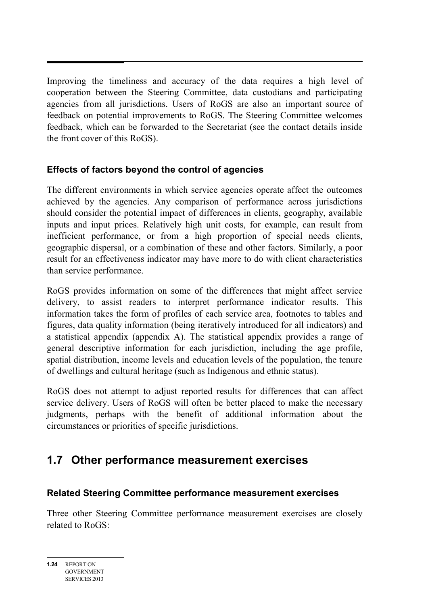Improving the timeliness and accuracy of the data requires a high level of cooperation between the Steering Committee, data custodians and participating agencies from all jurisdictions. Users of RoGS are also an important source of feedback on potential improvements to RoGS. The Steering Committee welcomes feedback, which can be forwarded to the Secretariat (see the contact details inside the front cover of this RoGS).

# **Effects of factors beyond the control of agencies**

The different environments in which service agencies operate affect the outcomes achieved by the agencies. Any comparison of performance across jurisdictions should consider the potential impact of differences in clients, geography, available inputs and input prices. Relatively high unit costs, for example, can result from inefficient performance, or from a high proportion of special needs clients, geographic dispersal, or a combination of these and other factors. Similarly, a poor result for an effectiveness indicator may have more to do with client characteristics than service performance.

RoGS provides information on some of the differences that might affect service delivery, to assist readers to interpret performance indicator results. This information takes the form of profiles of each service area, footnotes to tables and figures, data quality information (being iteratively introduced for all indicators) and a statistical appendix (appendix A). The statistical appendix provides a range of general descriptive information for each jurisdiction, including the age profile, spatial distribution, income levels and education levels of the population, the tenure of dwellings and cultural heritage (such as Indigenous and ethnic status).

RoGS does not attempt to adjust reported results for differences that can affect service delivery. Users of RoGS will often be better placed to make the necessary judgments, perhaps with the benefit of additional information about the circumstances or priorities of specific jurisdictions.

# <span id="page-23-0"></span>**1.7 Other performance measurement exercises**

# **Related Steering Committee performance measurement exercises**

Three other Steering Committee performance measurement exercises are closely related to RoGS: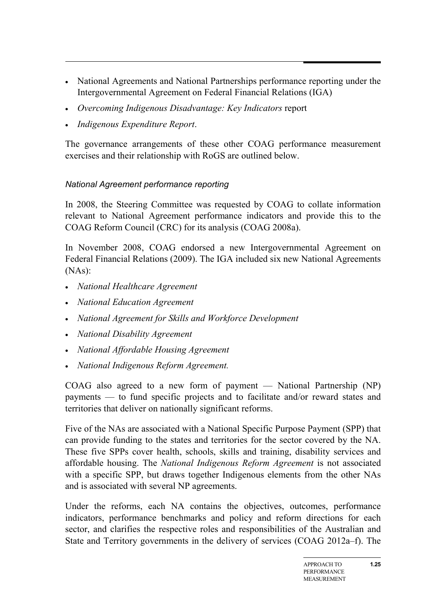- National Agreements and National Partnerships performance reporting under the Intergovernmental Agreement on Federal Financial Relations (IGA)
- *Overcoming Indigenous Disadvantage: Key Indicators* report
- *Indigenous Expenditure Report*.

The governance arrangements of these other COAG performance measurement exercises and their relationship with RoGS are outlined below.

# *National Agreement performance reporting*

In 2008, the Steering Committee was requested by COAG to collate information relevant to National Agreement performance indicators and provide this to the COAG Reform Council (CRC) for its analysis (COAG 2008a).

In November 2008, COAG endorsed a new Intergovernmental Agreement on Federal Financial Relations (2009). The IGA included six new National Agreements (NAs):

- *National Healthcare Agreement*
- *National Education Agreement*
- *National Agreement for Skills and Workforce Development*
- *National Disability Agreement*
- *National Affordable Housing Agreement*
- *National Indigenous Reform Agreement.*

COAG also agreed to a new form of payment — National Partnership (NP) payments — to fund specific projects and to facilitate and/or reward states and territories that deliver on nationally significant reforms.

Five of the NAs are associated with a National Specific Purpose Payment (SPP) that can provide funding to the states and territories for the sector covered by the NA. These five SPPs cover health, schools, skills and training, disability services and affordable housing. The *National Indigenous Reform Agreement* is not associated with a specific SPP, but draws together Indigenous elements from the other NAs and is associated with several NP agreements.

Under the reforms, each NA contains the objectives, outcomes, performance indicators, performance benchmarks and policy and reform directions for each sector, and clarifies the respective roles and responsibilities of the Australian and State and Territory governments in the delivery of services (COAG 2012a–f). The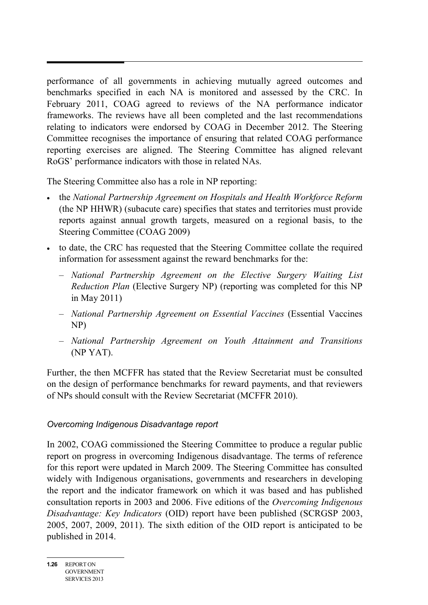performance of all governments in achieving mutually agreed outcomes and benchmarks specified in each NA is monitored and assessed by the CRC. In February 2011, COAG agreed to reviews of the NA performance indicator frameworks. The reviews have all been completed and the last recommendations relating to indicators were endorsed by COAG in December 2012. The Steering Committee recognises the importance of ensuring that related COAG performance reporting exercises are aligned. The Steering Committee has aligned relevant RoGS' performance indicators with those in related NAs.

The Steering Committee also has a role in NP reporting:

- the *National Partnership Agreement on Hospitals and Health Workforce Reform* (the NP HHWR) (subacute care) specifies that states and territories must provide reports against annual growth targets, measured on a regional basis, to the Steering Committee (COAG 2009)
- to date, the CRC has requested that the Steering Committee collate the required information for assessment against the reward benchmarks for the:
	- *National Partnership Agreement on the Elective Surgery Waiting List Reduction Plan* (Elective Surgery NP) (reporting was completed for this NP in May 2011)
	- *National Partnership Agreement on Essential Vaccines* (Essential Vaccines NP)
	- *National Partnership Agreement on Youth Attainment and Transitions* (NP YAT).

Further, the then MCFFR has stated that the Review Secretariat must be consulted on the design of performance benchmarks for reward payments, and that reviewers of NPs should consult with the Review Secretariat (MCFFR 2010).

#### *Overcoming Indigenous Disadvantage report*

In 2002, COAG commissioned the Steering Committee to produce a regular public report on progress in overcoming Indigenous disadvantage. The terms of reference for this report were updated in March 2009. The Steering Committee has consulted widely with Indigenous organisations, governments and researchers in developing the report and the indicator framework on which it was based and has published consultation reports in 2003 and 2006. Five editions of the *Overcoming Indigenous Disadvantage: Key Indicators* (OID) report have been published (SCRGSP 2003, 2005, 2007, 2009, 2011). The sixth edition of the OID report is anticipated to be published in 2014.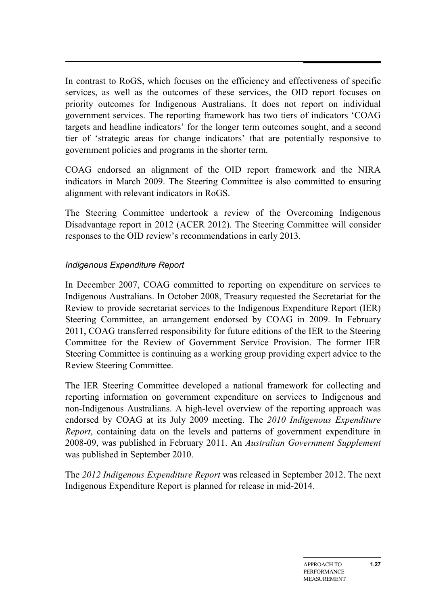In contrast to RoGS, which focuses on the efficiency and effectiveness of specific services, as well as the outcomes of these services, the OID report focuses on priority outcomes for Indigenous Australians. It does not report on individual government services. The reporting framework has two tiers of indicators 'COAG targets and headline indicators' for the longer term outcomes sought, and a second tier of 'strategic areas for change indicators' that are potentially responsive to government policies and programs in the shorter term.

COAG endorsed an alignment of the OID report framework and the NIRA indicators in March 2009. The Steering Committee is also committed to ensuring alignment with relevant indicators in RoGS.

The Steering Committee undertook a review of the Overcoming Indigenous Disadvantage report in 2012 (ACER 2012). The Steering Committee will consider responses to the OID review's recommendations in early 2013.

### *Indigenous Expenditure Report*

In December 2007, COAG committed to reporting on expenditure on services to Indigenous Australians. In October 2008, Treasury requested the Secretariat for the Review to provide secretariat services to the Indigenous Expenditure Report (IER) Steering Committee, an arrangement endorsed by COAG in 2009. In February 2011, COAG transferred responsibility for future editions of the IER to the Steering Committee for the Review of Government Service Provision. The former IER Steering Committee is continuing as a working group providing expert advice to the Review Steering Committee.

The IER Steering Committee developed a national framework for collecting and reporting information on government expenditure on services to Indigenous and non-Indigenous Australians. A high-level overview of the reporting approach was endorsed by COAG at its July 2009 meeting. The *2010 Indigenous Expenditure Report*, containing data on the levels and patterns of government expenditure in 2008-09, was published in February 2011. An *Australian Government Supplement*  was published in September 2010.

The *2012 Indigenous Expenditure Report* was released in September 2012. The next Indigenous Expenditure Report is planned for release in mid-2014.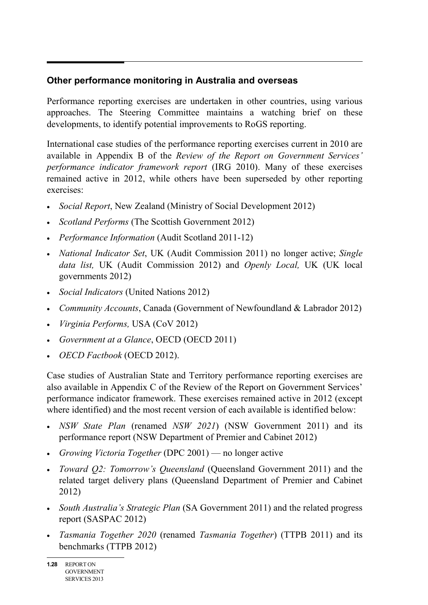# **Other performance monitoring in Australia and overseas**

Performance reporting exercises are undertaken in other countries, using various approaches. The Steering Committee maintains a watching brief on these developments, to identify potential improvements to RoGS reporting.

International case studies of the performance reporting exercises current in 2010 are available in Appendix B of the *Review of the Report on Government Services' performance indicator framework report* (IRG 2010). Many of these exercises remained active in 2012, while others have been superseded by other reporting exercises:

- *Social Report*, New Zealand (Ministry of Social Development 2012)
- *Scotland Performs* (The Scottish Government 2012)
- *Performance Information* (Audit Scotland 2011-12)
- *National Indicator Set*, UK (Audit Commission 2011) no longer active; *Single data list,* UK (Audit Commission 2012) and *Openly Local,* UK (UK local governments 2012)
- *Social Indicators* (United Nations 2012)
- *Community Accounts*, Canada (Government of Newfoundland & Labrador 2012)
- *Virginia Performs,* USA (CoV 2012)
- *Government at a Glance*, OECD (OECD 2011)
- *OECD Factbook* (OECD 2012).

Case studies of Australian State and Territory performance reporting exercises are also available in Appendix C of the Review of the Report on Government Services' performance indicator framework. These exercises remained active in 2012 (except where identified) and the most recent version of each available is identified below:

- *NSW State Plan* (renamed *NSW 2021*) (NSW Government 2011) and its performance report (NSW Department of Premier and Cabinet 2012)
- *Growing Victoria Together* (DPC 2001) no longer active
- *Toward Q2: Tomorrow's Queensland* (Queensland Government 2011) and the related target delivery plans (Queensland Department of Premier and Cabinet 2012)
- *South Australia's Strategic Plan* (SA Government 2011) and the related progress report (SASPAC 2012)
- *Tasmania Together 2020* (renamed *Tasmania Together*) (TTPB 2011) and its benchmarks (TTPB 2012)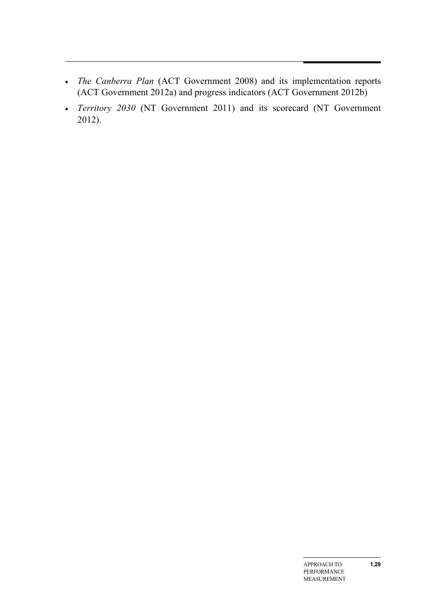- *The Canberra Plan* (ACT Government 2008) and its implementation reports (ACT Government 2012a) and progress indicators (ACT Government 2012b)
- *Territory 2030* (NT Government 2011) and its scorecard (NT Government 2012).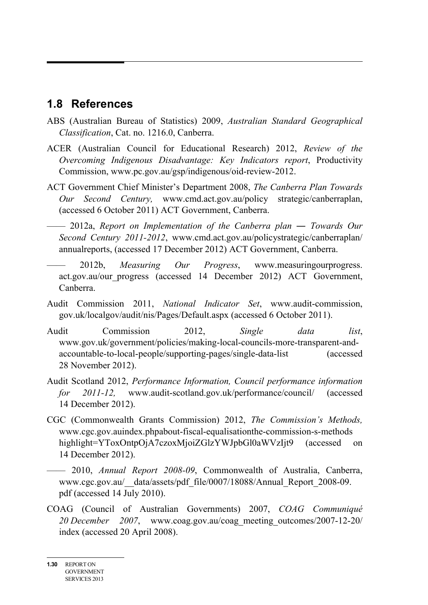# <span id="page-29-0"></span>**1.8 References**

- ABS (Australian Bureau of Statistics) 2009, *Australian Standard Geographical Classification*, Cat. no. 1216.0, Canberra.
- ACER (Australian Council for Educational Research) 2012, *Review of the Overcoming Indigenous Disadvantage: Key Indicators report*, Productivity Commission, www.pc.gov.au/gsp/indigenous/oid-review-2012.
- ACT Government Chief Minister's Department 2008, *The Canberra Plan Towards Our Second Century,* www.cmd.act.gov.au/policy strategic/canberraplan, (accessed 6 October 2011) ACT Government, Canberra.
- —— 2012a, *Report on Implementation of the Canberra plan ― Towards Our Second Century 2011-2012*, www.cmd.act.gov.au/policystrategic/canberraplan/ annualreports, (accessed 17 December 2012) ACT Government, Canberra.
- —— 2012b, *Measuring Our Progress*, www.measuringourprogress. act.gov.au/our\_progress (accessed 14 December 2012) ACT Government, Canberra.
- Audit Commission 2011, *National Indicator Set*, www.audit-commission, gov.uk/localgov/audit/nis/Pages/Default.aspx (accessed 6 October 2011).
- Audit Commission 2012, *Single data list*, www.gov.uk/government/policies/making-local-councils-more-transparent-andaccountable-to-local-people/supporting-pages/single-data-list (accessed 28 November 2012).
- Audit Scotland 2012, *Performance Information, Council performance information for 2011-12,* www.audit-scotland.gov.uk/performance/council/ (accessed 14 December 2012).
- CGC (Commonwealth Grants Commission) 2012, *The Commission's Methods,* www.cgc.gov.auindex.phpabout-fiscal-equalisationthe-commission-s-methods highlight=YToxOntpOjA7czoxMjoiZGlzYWJpbGl0aWVzIjt9 (accessed on 14 December 2012).
- —— 2010, *Annual Report 2008-09*, Commonwealth of Australia, Canberra, www.cgc.gov.au/\_\_data/assets/pdf\_file/0007/18088/Annual\_Report\_2008-09. pdf (accessed 14 July 2010).
- COAG (Council of Australian Governments) 2007, *COAG Communiqué 20 December 2007*, www.coag.gov.au/coag\_meeting\_outcomes/2007-12-20/ index (accessed 20 April 2008).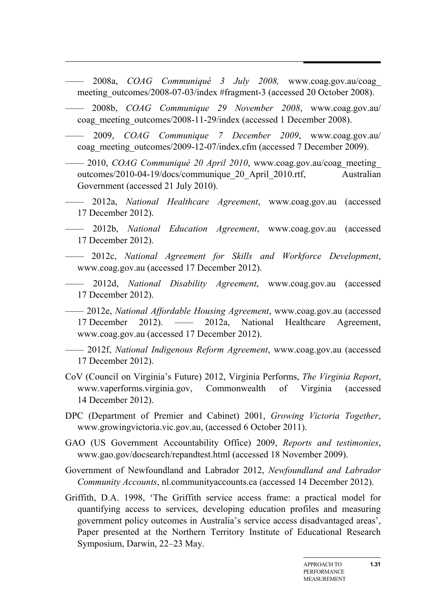- —— 2008a, *COAG Communiqué 3 July 2008,* www.coag.gov.au/coag\_ meeting\_outcomes/2008-07-03/index #fragment-3 (accessed 20 October 2008).
- —— 2008b, *COAG Communique 29 November 2008*, www.coag.gov.au/ coag\_meeting\_outcomes/2008-11-29/index (accessed 1 December 2008).
- —— 2009, *COAG Communique 7 December 2009*, www.coag.gov.au/ coag\_meeting\_outcomes/2009-12-07/index.cfm (accessed 7 December 2009).
- —— 2010, *COAG Communiqué 20 April 2010*, www.coag.gov.au/coag\_meeting outcomes/2010-04-19/docs/communique\_20\_April\_2010.rtf, Australian Government (accessed 21 July 2010).
- —— 2012a, *National Healthcare Agreement*, www.coag.gov.au (accessed 17 December 2012).
- —— 2012b, *National Education Agreement*, www.coag.gov.au (accessed 17 December 2012).
- —— 2012c, *National Agreement for Skills and Workforce Development*, www.coag.gov.au (accessed 17 December 2012).
- —— 2012d, *National Disability Agreement*, www.coag.gov.au (accessed 17 December 2012).
- —— 2012e, *National Affordable Housing Agreement*, www.coag.gov.au (accessed 17 December 2012). —— 2012a, National Healthcare Agreement, www.coag.gov.au (accessed 17 December 2012).
- —— 2012f, *National Indigenous Reform Agreement*, www.coag.gov.au (accessed 17 December 2012).
- CoV (Council on Virginia's Future) 2012, Virginia Performs, *The Virginia Report*, www.vaperforms.virginia.gov, Commonwealth of Virginia (accessed 14 December 2012).
- DPC (Department of Premier and Cabinet) 2001, *Growing Victoria Together*, www.growingvictoria.vic.gov.au, (accessed 6 October 2011).
- GAO (US Government Accountability Office) 2009, *Reports and testimonies*, www.gao.gov/docsearch/repandtest.html (accessed 18 November 2009).
- Government of Newfoundland and Labrador 2012, *Newfoundland and Labrador Community Accounts*, nl.communityaccounts.ca (accessed 14 December 2012).
- Griffith, D.A. 1998, 'The Griffith service access frame: a practical model for quantifying access to services, developing education profiles and measuring government policy outcomes in Australia's service access disadvantaged areas', Paper presented at the Northern Territory Institute of Educational Research Symposium, Darwin, 22–23 May.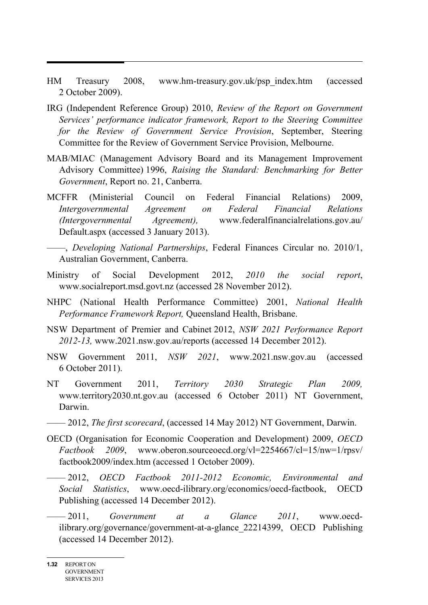- HM Treasury 2008, www.hm-treasury.gov.uk/psp\_index.htm (accessed 2 October 2009).
- IRG (Independent Reference Group) 2010, *Review of the Report on Government Services' performance indicator framework, Report to the Steering Committee for the Review of Government Service Provision*, September, Steering Committee for the Review of Government Service Provision, Melbourne.
- MAB/MIAC (Management Advisory Board and its Management Improvement Advisory Committee) 1996, *Raising the Standard: Benchmarking for Better Government*, Report no. 21, Canberra.
- MCFFR (Ministerial Council on Federal Financial Relations) 2009, *Intergovernmental Agreement on Federal Financial Relations (Intergovernmental Agreement),* www.federalfinancialrelations.gov.au/ Default.aspx (accessed 3 January 2013).
- ——, *Developing National Partnerships*, Federal Finances Circular no. 2010/1, Australian Government, Canberra.
- Ministry of Social Development 2012, *2010 the social report*, www.socialreport.msd.govt.nz (accessed 28 November 2012).
- NHPC (National Health Performance Committee) 2001, *National Health Performance Framework Report,* Queensland Health, Brisbane.
- NSW Department of Premier and Cabinet 2012, *NSW 2021 Performance Report 2012-13,* www.2021.nsw.gov.au/reports (accessed 14 December 2012).
- NSW Government 2011, *NSW 2021*, www.2021.nsw.gov.au (accessed 6 October 2011).
- NT Government 2011, *Territory 2030 Strategic Plan 2009,* www.territory2030.nt.gov.au (accessed 6 October 2011) NT Government, Darwin.
- —— 2012, *The first scorecard*, (accessed 14 May 2012) NT Government, Darwin.
- OECD (Organisation for Economic Cooperation and Development) 2009, *OECD Factbook 2009*, www.oberon.sourceoecd.org/vl=2254667/cl=15/nw=1/rpsv/ factbook2009/index.htm (accessed 1 October 2009).
	- —— 2012, *OECD Factbook 2011-2012 Economic, Environmental and Social Statistics*, www.oecd-ilibrary.org/economics/oecd-factbook, OECD Publishing (accessed 14 December 2012).
	- —— 2011, *Government at a Glance 2011*, www.oecdilibrary.org/governance/government-at-a-glance\_22214399, OECD Publishing (accessed 14 December 2012).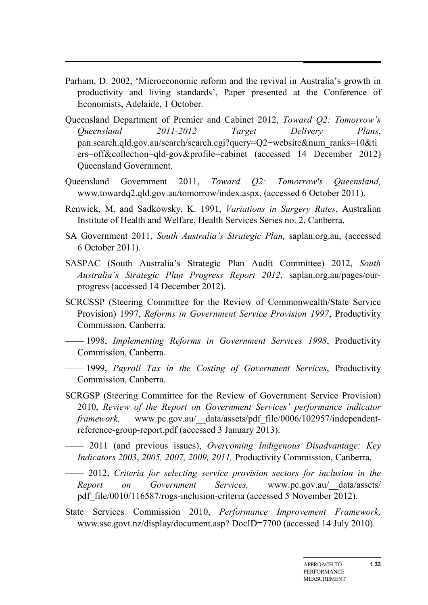- Parham, D. 2002, 'Microeconomic reform and the revival in Australia's growth in productivity and living standards', Paper presented at the Conference of Economists, Adelaide, 1 October.
- Queensland Department of Premier and Cabinet 2012, *Toward Q2: Tomorrow's Queensland 2011-2012 Target Delivery Plans*, pan.search.qld.gov.au/search/search.cgi?query=Q2+website&num\_ranks=10&ti ers=off&collection=qld-gov&profile=cabinet (accessed 14 December 2012) Queensland Government.
- Queensland Government 2011, *Toward Q2: Tomorrow's Queensland,* www.towardq2.qld.gov.au/tomorrow/index.aspx, (accessed 6 October 2011).
- Renwick, M. and Sadkowsky, K. 1991, *Variations in Surgery Rates*, Australian Institute of Health and Welfare, Health Services Series no. 2, Canberra.
- SA Government 2011, *South Australia's Strategic Plan,* saplan.org.au, (accessed 6 October 2011).
- SASPAC (South Australia's Strategic Plan Audit Committee) 2012, *South Australia's Strategic Plan Progress Report 2012*, saplan.org.au/pages/ourprogress (accessed 14 December 2012).
- SCRCSSP (Steering Committee for the Review of Commonwealth/State Service Provision) 1997, *Reforms in Government Service Provision 1997*, Productivity Commission, Canberra.
- —— 1998, *Implementing Reforms in Government Services 1998*, Productivity Commission, Canberra.
- —— 1999, *Payroll Tax in the Costing of Government Services*, Productivity Commission, Canberra.
- SCRGSP (Steering Committee for the Review of Government Service Provision) 2010, *Review of the Report on Government Services' performance indicator framework,* www.pc.gov.au/\_\_data/assets/pdf\_file/0006/102957/independentreference-group-report.pdf (accessed 3 January 2013).
- —— 2011 (and previous issues), *Overcoming Indigenous Disadvantage: Key Indicators 2003*, *2005, 2007, 2009, 2011,* Productivity Commission, Canberra.
- —— 2012, *Criteria for selecting service provision sectors for inclusion in the Report on Government Services,* www.pc.gov.au/\_\_data/assets/ pdf\_file/0010/116587/rogs-inclusion-criteria (accessed 5 November 2012).
- State Services Commission 2010, *Performance Improvement Framework,* www.ssc.govt.nz/display/document.asp? DocID=7700 (accessed 14 July 2010).